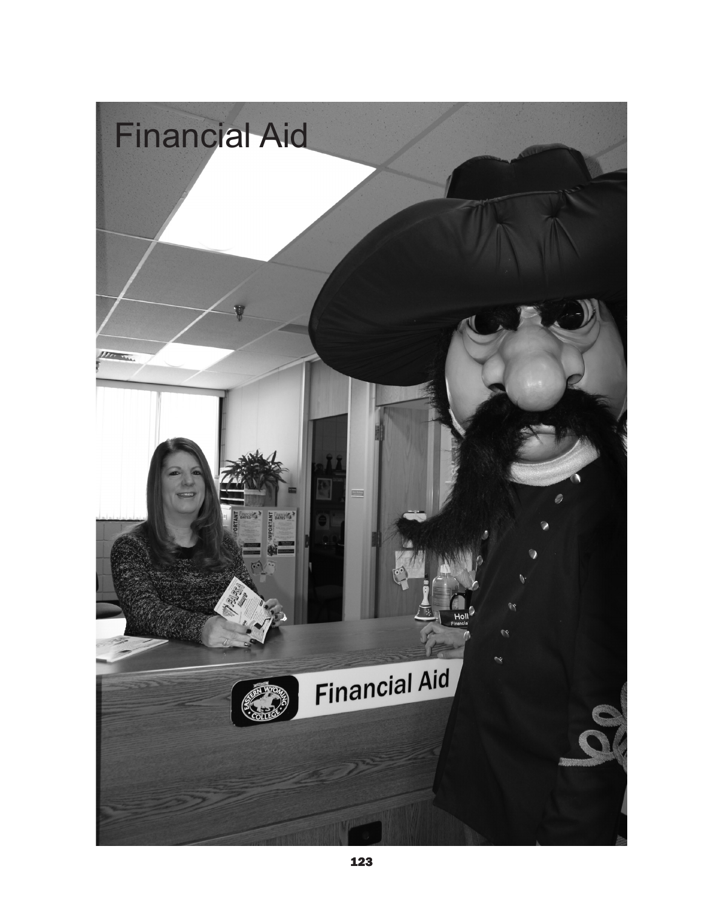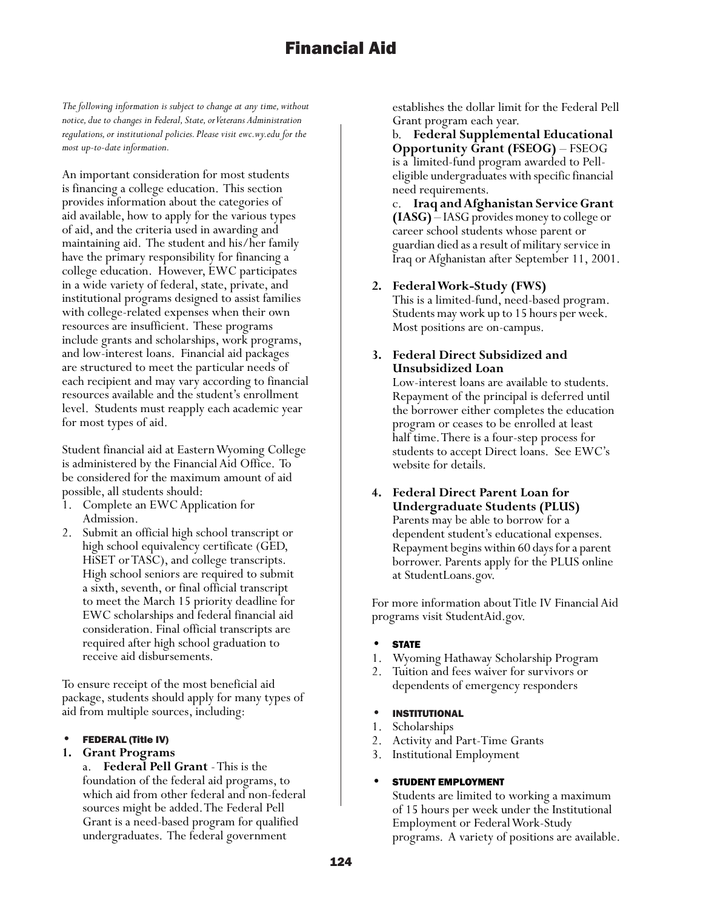*The following information is subject to change at any time, without notice, due to changes in Federal, State, or Veterans Administration regulations, or institutional policies. Please visit ewc.wy.edu for the most up-to-date information.*

An important consideration for most students is financing a college education. This section provides information about the categories of aid available, how to apply for the various types of aid, and the criteria used in awarding and maintaining aid. The student and his/her family have the primary responsibility for financing a college education. However, EWC participates in a wide variety of federal, state, private, and institutional programs designed to assist families with college-related expenses when their own resources are insufficient. These programs include grants and scholarships, work programs, and low-interest loans. Financial aid packages are structured to meet the particular needs of each recipient and may vary according to financial resources available and the student's enrollment level. Students must reapply each academic year for most types of aid.

Student financial aid at Eastern Wyoming College is administered by the Financial Aid Office. To be considered for the maximum amount of aid possible, all students should:

- Complete an EWC Application for Admission.
- 2. Submit an official high school transcript or high school equivalency certificate (GED, HiSET or TASC), and college transcripts. High school seniors are required to submit a sixth, seventh, or final official transcript to meet the March 15 priority deadline for EWC scholarships and federal financial aid consideration. Final official transcripts are required after high school graduation to receive aid disbursements.

To ensure receipt of the most beneficial aid package, students should apply for many types of aid from multiple sources, including:

## • FEDERAL (Title IV)

## **1. Grant Programs**

a. **Federal Pell Grant** - This is the foundation of the federal aid programs, to which aid from other federal and non-federal sources might be added. The Federal Pell Grant is a need-based program for qualified undergraduates. The federal government

establishes the dollar limit for the Federal Pell Grant program each year.

b. **Federal Supplemental Educational Opportunity Grant (FSEOG)** – FSEOG is a limited-fund program awarded to Pelleligible undergraduates with specific financial need requirements.

c. **Iraq and Afghanistan Service Grant (IASG)** – IASG provides money to college or career school students whose parent or guardian died as a result of military service in Iraq or Afghanistan after September 11, 2001.

- **2. Federal Work-Study (FWS)** This is a limited-fund, need-based program. Students may work up to 15 hours per week. Most positions are on-campus.
- **3. Federal Direct Subsidized and Unsubsidized Loan**

Low-interest loans are available to students. Repayment of the principal is deferred until the borrower either completes the education program or ceases to be enrolled at least half time. There is a four-step process for students to accept Direct loans. See EWC's website for details.

**4. Federal Direct Parent Loan for Undergraduate Students (PLUS)** Parents may be able to borrow for a dependent student's educational expenses. Repayment begins within 60 days for a parent borrower. Parents apply for the PLUS online at StudentLoans.gov.

For more information about Title IV Financial Aid programs visit StudentAid.gov.

## **STATE**

- 1. Wyoming Hathaway Scholarship Program
- 2. Tuition and fees waiver for survivors or dependents of emergency responders

## **INSTITUTIONAL**

- 1. Scholarships
- 2. Activity and Part-Time Grants
- 3. Institutional Employment

## STUDENT EMPLOYMENT

Students are limited to working a maximum of 15 hours per week under the Institutional Employment or Federal Work-Study programs. A variety of positions are available.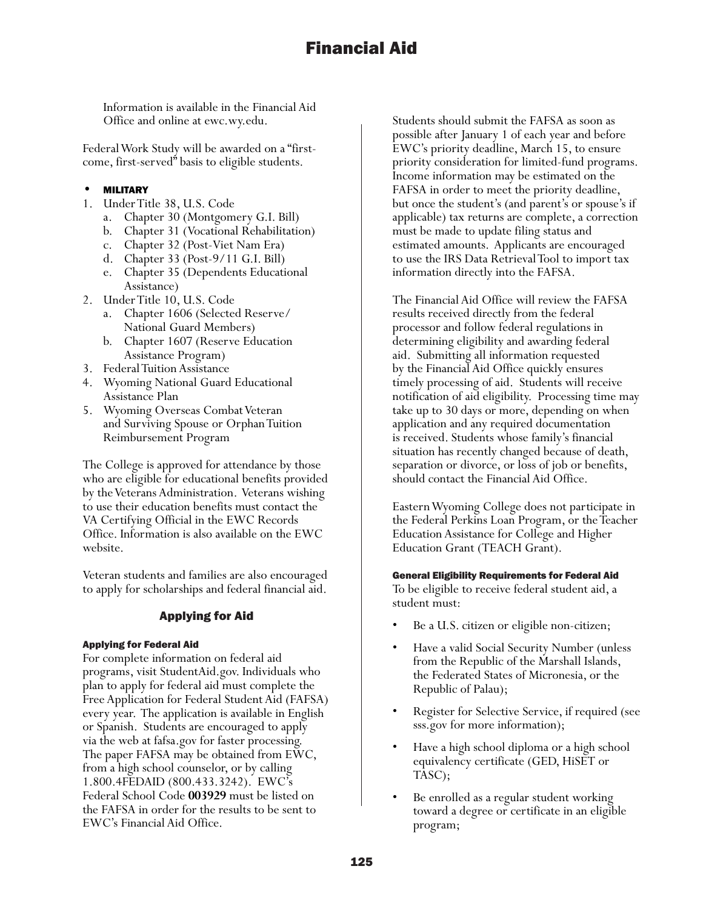Information is available in the Financial Aid Office and online at ewc.wy.edu.

Federal Work Study will be awarded on a "firstcome, first-served" basis to eligible students.

## **MILITARY**

- 1. Under Title 38, U.S. Code
	- a. Chapter 30 (Montgomery G.I. Bill)
	- b. Chapter 31 (Vocational Rehabilitation)
	- c. Chapter 32 (Post-Viet Nam Era)
	- d. Chapter 33 (Post-9/11 G.I. Bill)
	- e. Chapter 35 (Dependents Educational Assistance)
- 2. Under Title 10, U.S. Code
	- a. Chapter 1606 (Selected Reserve/ National Guard Members)
	- b. Chapter 1607 (Reserve Education Assistance Program)
- 3. Federal Tuition Assistance
- 4. Wyoming National Guard Educational Assistance Plan
- 5. Wyoming Overseas Combat Veteran and Surviving Spouse or Orphan Tuition Reimbursement Program

The College is approved for attendance by those who are eligible for educational benefits provided by the Veterans Administration. Veterans wishing to use their education benefits must contact the VA Certifying Official in the EWC Records Office. Information is also available on the EWC website.

Veteran students and families are also encouraged to apply for scholarships and federal financial aid.

# Applying for Aid

## Applying for Federal Aid

For complete information on federal aid programs, visit StudentAid.gov. Individuals who plan to apply for federal aid must complete the Free Application for Federal Student Aid (FAFSA) every year. The application is available in English or Spanish. Students are encouraged to apply via the web at fafsa.gov for faster processing. The paper FAFSA may be obtained from EWC, from a high school counselor, or by calling 1.800.4FEDAID (800.433.3242). EWC's Federal School Code **003929** must be listed on the FAFSA in order for the results to be sent to EWC's Financial Aid Office.

Students should submit the FAFSA as soon as possible after January 1 of each year and before EWC's priority deadline, March 15, to ensure priority consideration for limited-fund programs. Income information may be estimated on the FAFSA in order to meet the priority deadline, but once the student's (and parent's or spouse's if applicable) tax returns are complete, a correction must be made to update filing status and estimated amounts. Applicants are encouraged to use the IRS Data Retrieval Tool to import tax information directly into the FAFSA.

The Financial Aid Office will review the FAFSA results received directly from the federal processor and follow federal regulations in determining eligibility and awarding federal aid. Submitting all information requested by the Financial Aid Office quickly ensures timely processing of aid. Students will receive notification of aid eligibility. Processing time may take up to 30 days or more, depending on when application and any required documentation is received. Students whose family's financial situation has recently changed because of death, separation or divorce, or loss of job or benefits, should contact the Financial Aid Office.

Eastern Wyoming College does not participate in the Federal Perkins Loan Program, or the Teacher Education Assistance for College and Higher Education Grant (TEACH Grant).

### General Eligibility Requirements for Federal Aid

To be eligible to receive federal student aid, a student must:

- Be a U.S. citizen or eligible non-citizen;
- Have a valid Social Security Number (unless from the Republic of the Marshall Islands, the Federated States of Micronesia, or the Republic of Palau);
- Register for Selective Service, if required (see sss.gov for more information);
- Have a high school diploma or a high school equivalency certificate (GED, HiSET or TASC);
- Be enrolled as a regular student working toward a degree or certificate in an eligible program;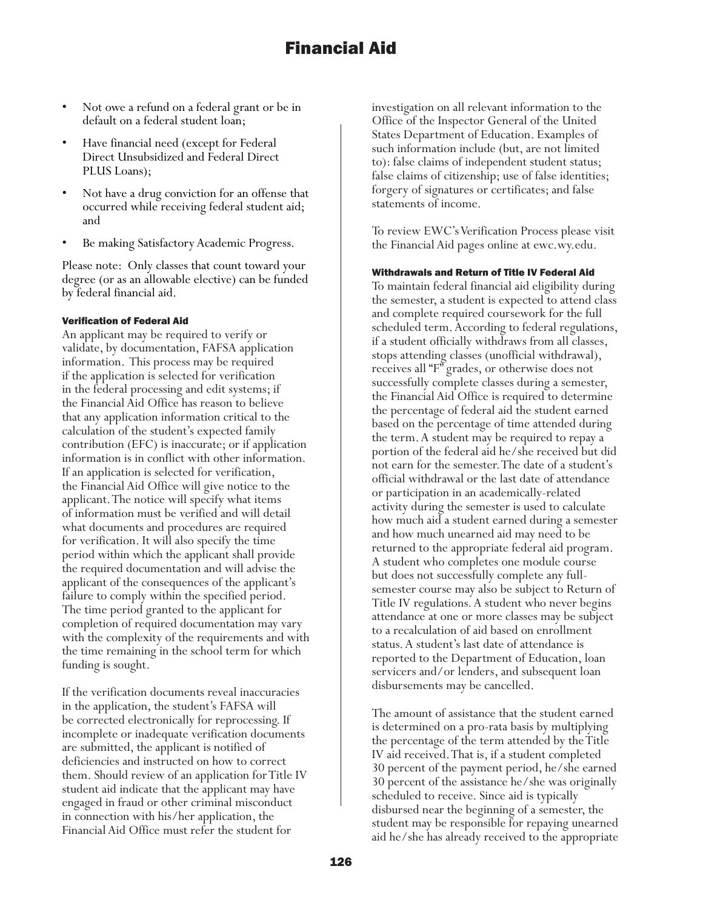- Not owe a refund on a federal grant or be in default on a federal student loan;
- Have financial need (except for Federal Direct Unsubsidized and Federal Direct PLUS Loans);
- Not have a drug conviction for an offense that occurred while receiving federal student aid; and
- Be making Satisfactory Academic Progress.

Please note: Only classes that count toward your degree (or as an allowable elective) can be funded by federal financial aid.

## Verification of Federal Aid

An applicant may be required to verify or validate, by documentation, FAFSA application information. This process may be required if the application is selected for verification in the federal processing and edit systems; if the Financial Aid Office has reason to believe that any application information critical to the calculation of the student's expected family contribution (EFC) is inaccurate; or if application information is in conflict with other information. If an application is selected for verification, the Financial Aid Office will give notice to the applicant. The notice will specify what items of information must be verified and will detail what documents and procedures are required for verification. It will also specify the time period within which the applicant shall provide the required documentation and will advise the applicant of the consequences of the applicant's failure to comply within the specified period. The time period granted to the applicant for completion of required documentation may vary with the complexity of the requirements and with the time remaining in the school term for which funding is sought.

If the verification documents reveal inaccuracies in the application, the student's FAFSA will be corrected electronically for reprocessing. If incomplete or inadequate verification documents are submitted, the applicant is notified of deficiencies and instructed on how to correct them. Should review of an application for Title IV student aid indicate that the applicant may have engaged in fraud or other criminal misconduct in connection with his/her application, the Financial Aid Office must refer the student for

investigation on all relevant information to the Office of the Inspector General of the United States Department of Education. Examples of such information include (but, are not limited to): false claims of independent student status; false claims of citizenship; use of false identities; forgery of signatures or certificates; and false statements of income.

To review EWC's Verification Process please visit the Financial Aid pages online at ewc.wy.edu.

## Withdrawals and Return of Title IV Federal Aid

To maintain federal financial aid eligibility during the semester, a student is expected to attend class and complete required coursework for the full scheduled term. According to federal regulations, if a student officially withdraws from all classes, stops attending classes (unofficial withdrawal), receives all "F" grades, or otherwise does not successfully complete classes during a semester, the Financial Aid Office is required to determine the percentage of federal aid the student earned based on the percentage of time attended during the term. A student may be required to repay a portion of the federal aid he/she received but did not earn for the semester. The date of a student's official withdrawal or the last date of attendance or participation in an academically-related activity during the semester is used to calculate how much aid a student earned during a semester and how much unearned aid may need to be returned to the appropriate federal aid program. A student who completes one module course but does not successfully complete any fullsemester course may also be subject to Return of Title IV regulations. A student who never begins attendance at one or more classes may be subject to a recalculation of aid based on enrollment status. A student's last date of attendance is reported to the Department of Education, loan servicers and/or lenders, and subsequent loan disbursements may be cancelled.

The amount of assistance that the student earned is determined on a pro-rata basis by multiplying the percentage of the term attended by the Title IV aid received. That is, if a student completed 30 percent of the payment period, he/she earned 30 percent of the assistance he/she was originally scheduled to receive. Since aid is typically disbursed near the beginning of a semester, the student may be responsible for repaying unearned aid he/she has already received to the appropriate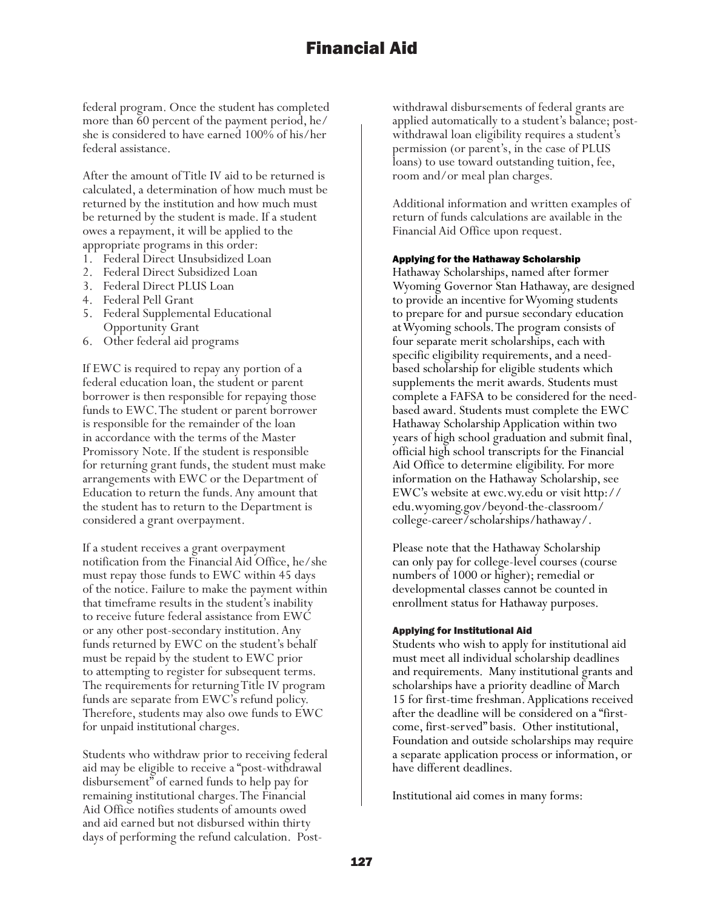federal program. Once the student has completed more than 60 percent of the payment period, he/ she is considered to have earned 100% of his/her federal assistance.

After the amount of Title IV aid to be returned is calculated, a determination of how much must be returned by the institution and how much must be returned by the student is made. If a student owes a repayment, it will be applied to the appropriate programs in this order:

- 1. Federal Direct Unsubsidized Loan
- 2. Federal Direct Subsidized Loan
- 3. Federal Direct PLUS Loan
- 4. Federal Pell Grant
- 5. Federal Supplemental Educational Opportunity Grant
- 6. Other federal aid programs

If EWC is required to repay any portion of a federal education loan, the student or parent borrower is then responsible for repaying those funds to EWC. The student or parent borrower is responsible for the remainder of the loan in accordance with the terms of the Master Promissory Note. If the student is responsible for returning grant funds, the student must make arrangements with EWC or the Department of Education to return the funds. Any amount that the student has to return to the Department is considered a grant overpayment.

If a student receives a grant overpayment notification from the Financial Aid Office, he/she must repay those funds to EWC within 45 days of the notice. Failure to make the payment within that timeframe results in the student's inability to receive future federal assistance from EWC or any other post-secondary institution. Any funds returned by EWC on the student's behalf must be repaid by the student to EWC prior to attempting to register for subsequent terms. The requirements for returning Title IV program funds are separate from EWC's refund policy. Therefore, students may also owe funds to EWC for unpaid institutional charges.

Students who withdraw prior to receiving federal aid may be eligible to receive a "post-withdrawal disbursement" of earned funds to help pay for remaining institutional charges. The Financial Aid Office notifies students of amounts owed and aid earned but not disbursed within thirty days of performing the refund calculation. Post-

withdrawal disbursements of federal grants are applied automatically to a student's balance; postwithdrawal loan eligibility requires a student's permission (or parent's, in the case of PLUS loans) to use toward outstanding tuition, fee, room and/or meal plan charges.

Additional information and written examples of return of funds calculations are available in the Financial Aid Office upon request.

#### Applying for the Hathaway Scholarship

Hathaway Scholarships, named after former Wyoming Governor Stan Hathaway, are designed to provide an incentive for Wyoming students to prepare for and pursue secondary education at Wyoming schools. The program consists of four separate merit scholarships, each with specific eligibility requirements, and a needbased scholarship for eligible students which supplements the merit awards. Students must complete a FAFSA to be considered for the needbased award. Students must complete the EWC Hathaway Scholarship Application within two years of high school graduation and submit final, official high school transcripts for the Financial Aid Office to determine eligibility. For more information on the Hathaway Scholarship, see EWC's website at ewc.wy.edu or visit http:// edu.wyoming.gov/beyond-the-classroom/ college-career/scholarships/hathaway/.

Please note that the Hathaway Scholarship can only pay for college-level courses (course numbers of 1000 or higher); remedial or developmental classes cannot be counted in enrollment status for Hathaway purposes.

#### Applying for Institutional Aid

Students who wish to apply for institutional aid must meet all individual scholarship deadlines and requirements. Many institutional grants and scholarships have a priority deadline of March 15 for first-time freshman. Applications received after the deadline will be considered on a "firstcome, first-served" basis. Other institutional, Foundation and outside scholarships may require a separate application process or information, or have different deadlines.

Institutional aid comes in many forms: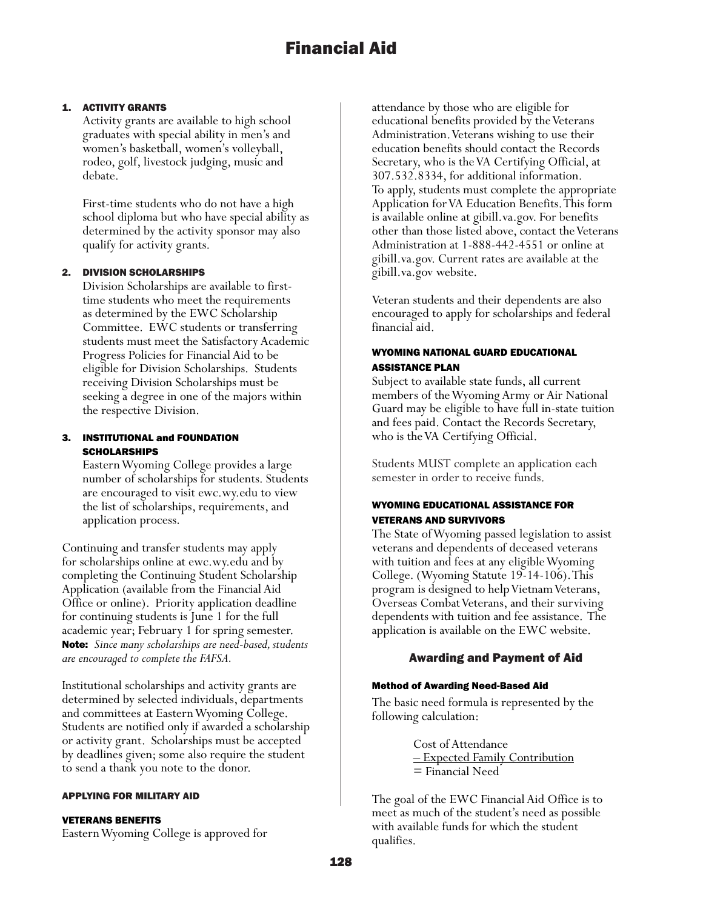## 1. ACTIVITY GRANTS

Activity grants are available to high school graduates with special ability in men's and women's basketball, women's volleyball, rodeo, golf, livestock judging, music and debate.

First-time students who do not have a high school diploma but who have special ability as determined by the activity sponsor may also qualify for activity grants.

## 2. DIVISION SCHOLARSHIPS

Division Scholarships are available to firsttime students who meet the requirements as determined by the EWC Scholarship Committee. EWC students or transferring students must meet the Satisfactory Academic Progress Policies for Financial Aid to be eligible for Division Scholarships. Students receiving Division Scholarships must be seeking a degree in one of the majors within the respective Division.

## 3. INSTITUTIONAL and FOUNDATION **SCHOLARSHIPS**

Eastern Wyoming College provides a large number of scholarships for students. Students are encouraged to visit ewc.wy.edu to view the list of scholarships, requirements, and application process.

Continuing and transfer students may apply for scholarships online at ewc.wy.edu and by completing the Continuing Student Scholarship Application (available from the Financial Aid Office or online). Priority application deadline for continuing students is June 1 for the full academic year; February 1 for spring semester. Note: *Since many scholarships are need-based, students are encouraged to complete the FAFSA.*

Institutional scholarships and activity grants are determined by selected individuals, departments and committees at Eastern Wyoming College. Students are notified only if awarded a scholarship or activity grant. Scholarships must be accepted by deadlines given; some also require the student to send a thank you note to the donor.

## APPLYING FOR MILITARY AID

### VETERANS BENEFITS

Eastern Wyoming College is approved for

attendance by those who are eligible for educational benefits provided by the Veterans Administration. Veterans wishing to use their education benefits should contact the Records Secretary, who is the VA Certifying Official, at 307.532.8334, for additional information. To apply, students must complete the appropriate Application for VA Education Benefits. This form is available online at gibill.va.gov. For benefits other than those listed above, contact the Veterans Administration at 1-888-442-4551 or online at gibill.va.gov. Current rates are available at the gibill.va.gov website.

Veteran students and their dependents are also encouraged to apply for scholarships and federal financial aid.

## WYOMING NATIONAL GUARD EDUCATIONAL ASSISTANCE PLAN

Subject to available state funds, all current members of the Wyoming Army or Air National Guard may be eligible to have full in-state tuition and fees paid. Contact the Records Secretary, who is the VA Certifying Official.

Students MUST complete an application each semester in order to receive funds.

## WYOMING EDUCATIONAL ASSISTANCE FOR VETERANS AND SURVIVORS

The State of Wyoming passed legislation to assist veterans and dependents of deceased veterans with tuition and fees at any eligible Wyoming College. (Wyoming Statute 19-14-106). This program is designed to help Vietnam Veterans, Overseas Combat Veterans, and their surviving dependents with tuition and fee assistance. The application is available on the EWC website.

## Awarding and Payment of Aid

### Method of Awarding Need-Based Aid

The basic need formula is represented by the following calculation:

> Cost of Attendance – Expected Family Contribution = Financial Need

The goal of the EWC Financial Aid Office is to meet as much of the student's need as possible with available funds for which the student qualifies.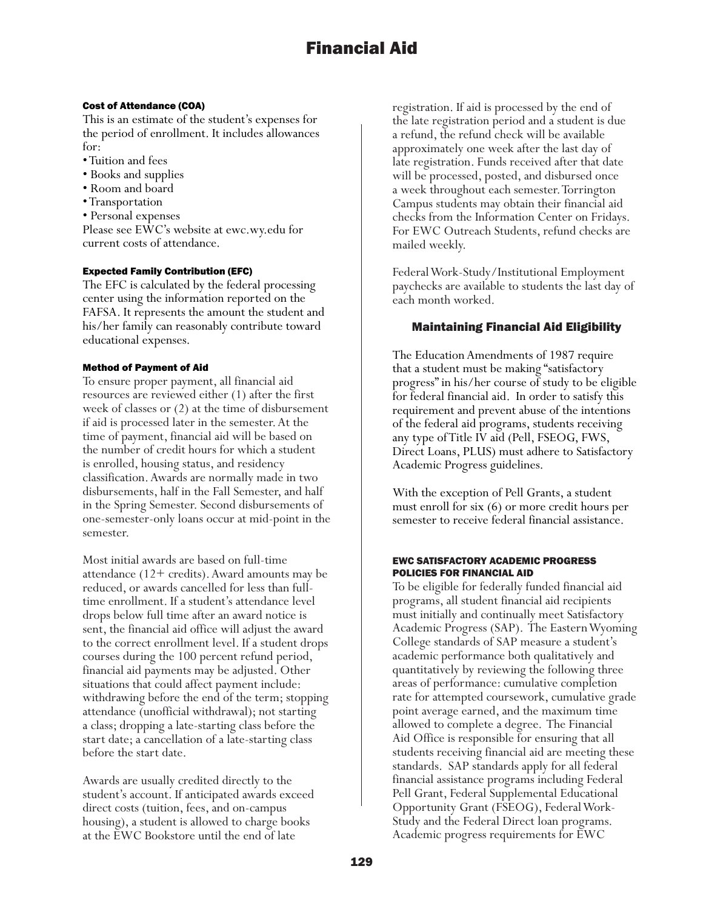## Cost of Attendance (COA)

This is an estimate of the student's expenses for the period of enrollment. It includes allowances for:

- Tuition and fees
- Books and supplies
- Room and board
- Transportation
- Personal expenses

Please see EWC's website at ewc.wy.edu for current costs of attendance.

## Expected Family Contribution (EFC)

The EFC is calculated by the federal processing center using the information reported on the FAFSA. It represents the amount the student and his/her family can reasonably contribute toward educational expenses.

## Method of Payment of Aid

To ensure proper payment, all financial aid resources are reviewed either (1) after the first week of classes or (2) at the time of disbursement if aid is processed later in the semester. At the time of payment, financial aid will be based on the number of credit hours for which a student is enrolled, housing status, and residency classification. Awards are normally made in two disbursements, half in the Fall Semester, and half in the Spring Semester. Second disbursements of one-semester-only loans occur at mid-point in the semester.

Most initial awards are based on full-time attendance (12+ credits). Award amounts may be reduced, or awards cancelled for less than fulltime enrollment. If a student's attendance level drops below full time after an award notice is sent, the financial aid office will adjust the award to the correct enrollment level. If a student drops courses during the 100 percent refund period, financial aid payments may be adjusted. Other situations that could affect payment include: withdrawing before the end of the term; stopping attendance (unofficial withdrawal); not starting a class; dropping a late-starting class before the start date; a cancellation of a late-starting class before the start date.

Awards are usually credited directly to the student's account. If anticipated awards exceed direct costs (tuition, fees, and on-campus housing), a student is allowed to charge books at the EWC Bookstore until the end of late

registration. If aid is processed by the end of the late registration period and a student is due a refund, the refund check will be available approximately one week after the last day of late registration. Funds received after that date will be processed, posted, and disbursed once a week throughout each semester. Torrington Campus students may obtain their financial aid checks from the Information Center on Fridays. For EWC Outreach Students, refund checks are mailed weekly.

Federal Work-Study/Institutional Employment paychecks are available to students the last day of each month worked.

# Maintaining Financial Aid Eligibility

The Education Amendments of 1987 require that a student must be making "satisfactory progress" in his/her course of study to be eligible for federal financial aid. In order to satisfy this requirement and prevent abuse of the intentions of the federal aid programs, students receiving any type of Title IV aid (Pell, FSEOG, FWS, Direct Loans, PLUS) must adhere to Satisfactory Academic Progress guidelines.

With the exception of Pell Grants, a student must enroll for six (6) or more credit hours per semester to receive federal financial assistance.

### EWC SATISFACTORY ACADEMIC PROGRESS POLICIES FOR FINANCIAL AID

To be eligible for federally funded financial aid programs, all student financial aid recipients must initially and continually meet Satisfactory Academic Progress (SAP). The Eastern Wyoming College standards of SAP measure a student's academic performance both qualitatively and quantitatively by reviewing the following three areas of performance: cumulative completion rate for attempted coursework, cumulative grade point average earned, and the maximum time allowed to complete a degree. The Financial Aid Office is responsible for ensuring that all students receiving financial aid are meeting these standards. SAP standards apply for all federal financial assistance programs including Federal Pell Grant, Federal Supplemental Educational Opportunity Grant (FSEOG), Federal Work-Study and the Federal Direct loan programs. Academic progress requirements for EWC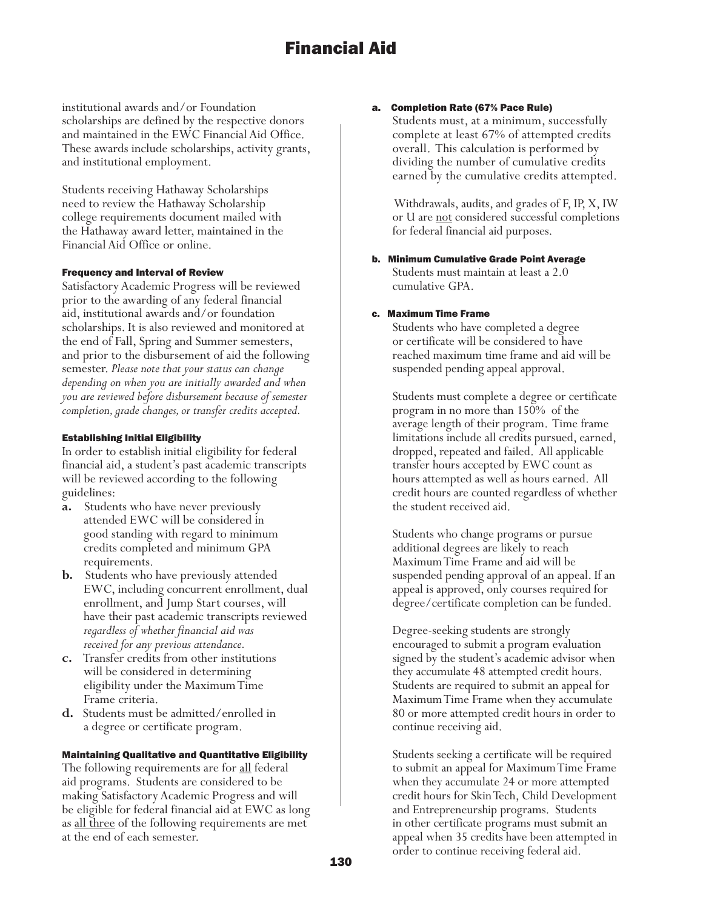institutional awards and/or Foundation scholarships are defined by the respective donors and maintained in the EWC Financial Aid Office. These awards include scholarships, activity grants, and institutional employment.

Students receiving Hathaway Scholarships need to review the Hathaway Scholarship college requirements document mailed with the Hathaway award letter, maintained in the Financial Aid Office or online.

### Frequency and Interval of Review

Satisfactory Academic Progress will be reviewed prior to the awarding of any federal financial aid, institutional awards and/or foundation scholarships. It is also reviewed and monitored at the end of Fall, Spring and Summer semesters, and prior to the disbursement of aid the following semester. *Please note that your status can change depending on when you are initially awarded and when you are reviewed before disbursement because of semester completion, grade changes, or transfer credits accepted.*

## Establishing Initial Eligibility

In order to establish initial eligibility for federal financial aid, a student's past academic transcripts will be reviewed according to the following guidelines:

- **a.** Students who have never previously attended EWC will be considered in good standing with regard to minimum credits completed and minimum GPA requirements.
- **b.** Students who have previously attended EWC, including concurrent enrollment, dual enrollment, and Jump Start courses, will have their past academic transcripts reviewed *regardless of whether financial aid was received for any previous attendance.*
- **c.** Transfer credits from other institutions will be considered in determining eligibility under the Maximum Time Frame criteria.
- **d.** Students must be admitted/enrolled in a degree or certificate program.

### Maintaining Qualitative and Quantitative Eligibility

The following requirements are for all federal aid programs. Students are considered to be making Satisfactory Academic Progress and will be eligible for federal financial aid at EWC as long as all three of the following requirements are met at the end of each semester.

### a. Completion Rate (67% Pace Rule)

Students must, at a minimum, successfully complete at least 67% of attempted credits overall. This calculation is performed by dividing the number of cumulative credits earned by the cumulative credits attempted.

 Withdrawals, audits, and grades of F, IP, X, IW or U are not considered successful completions for federal financial aid purposes.

b. Minimum Cumulative Grade Point Average Students must maintain at least a 2.0 cumulative GPA.

### c. Maximum Time Frame

Students who have completed a degree or certificate will be considered to have reached maximum time frame and aid will be suspended pending appeal approval.

Students must complete a degree or certificate program in no more than 150% of the average length of their program. Time frame limitations include all credits pursued, earned, dropped, repeated and failed. All applicable transfer hours accepted by EWC count as hours attempted as well as hours earned. All credit hours are counted regardless of whether the student received aid.

Students who change programs or pursue additional degrees are likely to reach Maximum Time Frame and aid will be suspended pending approval of an appeal. If an appeal is approved, only courses required for degree/certificate completion can be funded.

Degree-seeking students are strongly encouraged to submit a program evaluation signed by the student's academic advisor when they accumulate 48 attempted credit hours. Students are required to submit an appeal for Maximum Time Frame when they accumulate 80 or more attempted credit hours in order to continue receiving aid.

Students seeking a certificate will be required to submit an appeal for Maximum Time Frame when they accumulate 24 or more attempted credit hours for Skin Tech, Child Development and Entrepreneurship programs. Students in other certificate programs must submit an appeal when 35 credits have been attempted in order to continue receiving federal aid.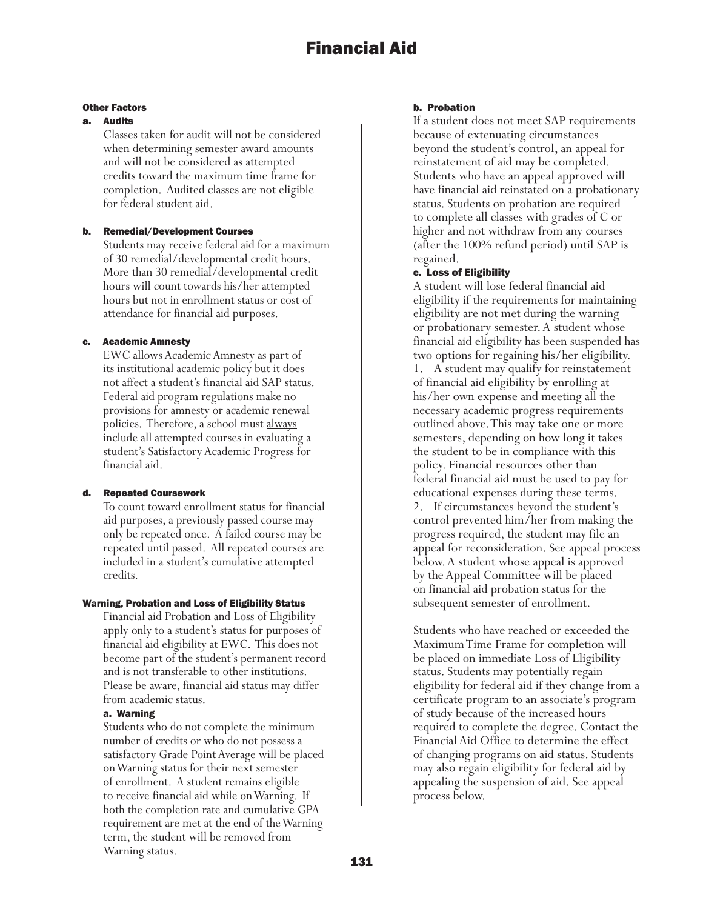#### Other Factors

#### a. Audits

Classes taken for audit will not be considered when determining semester award amounts and will not be considered as attempted credits toward the maximum time frame for completion. Audited classes are not eligible for federal student aid.

### b. Remedial/Development Courses

Students may receive federal aid for a maximum of 30 remedial/developmental credit hours. More than 30 remedial/developmental credit hours will count towards his/her attempted hours but not in enrollment status or cost of attendance for financial aid purposes.

### **Academic Amnesty**

EWC allows Academic Amnesty as part of its institutional academic policy but it does not affect a student's financial aid SAP status. Federal aid program regulations make no provisions for amnesty or academic renewal policies. Therefore, a school must always include all attempted courses in evaluating a student's Satisfactory Academic Progress for financial aid.

### d. Repeated Coursework

To count toward enrollment status for financial aid purposes, a previously passed course may only be repeated once. A failed course may be repeated until passed. All repeated courses are included in a student's cumulative attempted credits.

#### Warning, Probation and Loss of Eligibility Status

Financial aid Probation and Loss of Eligibility apply only to a student's status for purposes of financial aid eligibility at EWC. This does not become part of the student's permanent record and is not transferable to other institutions. Please be aware, financial aid status may differ from academic status.

### a. Warning

Students who do not complete the minimum number of credits or who do not possess a satisfactory Grade Point Average will be placed on Warning status for their next semester of enrollment. A student remains eligible to receive financial aid while on Warning. If both the completion rate and cumulative GPA requirement are met at the end of the Warning term, the student will be removed from Warning status.

### b. Probation

If a student does not meet SAP requirements because of extenuating circumstances beyond the student's control, an appeal for reinstatement of aid may be completed. Students who have an appeal approved will have financial aid reinstated on a probationary status. Students on probation are required to complete all classes with grades of C or higher and not withdraw from any courses (after the 100% refund period) until SAP is regained.

### c. Loss of Eligibility

A student will lose federal financial aid eligibility if the requirements for maintaining eligibility are not met during the warning or probationary semester. A student whose financial aid eligibility has been suspended has two options for regaining his/her eligibility.

1. A student may qualify for reinstatement of financial aid eligibility by enrolling at his/her own expense and meeting all the necessary academic progress requirements outlined above. This may take one or more semesters, depending on how long it takes the student to be in compliance with this policy. Financial resources other than federal financial aid must be used to pay for educational expenses during these terms. 2. If circumstances beyond the student's control prevented him/her from making the progress required, the student may file an appeal for reconsideration. See appeal process below. A student whose appeal is approved by the Appeal Committee will be placed on financial aid probation status for the subsequent semester of enrollment.

Students who have reached or exceeded the Maximum Time Frame for completion will be placed on immediate Loss of Eligibility status. Students may potentially regain eligibility for federal aid if they change from a certificate program to an associate's program of study because of the increased hours required to complete the degree. Contact the Financial Aid Office to determine the effect of changing programs on aid status. Students may also regain eligibility for federal aid by appealing the suspension of aid. See appeal process below.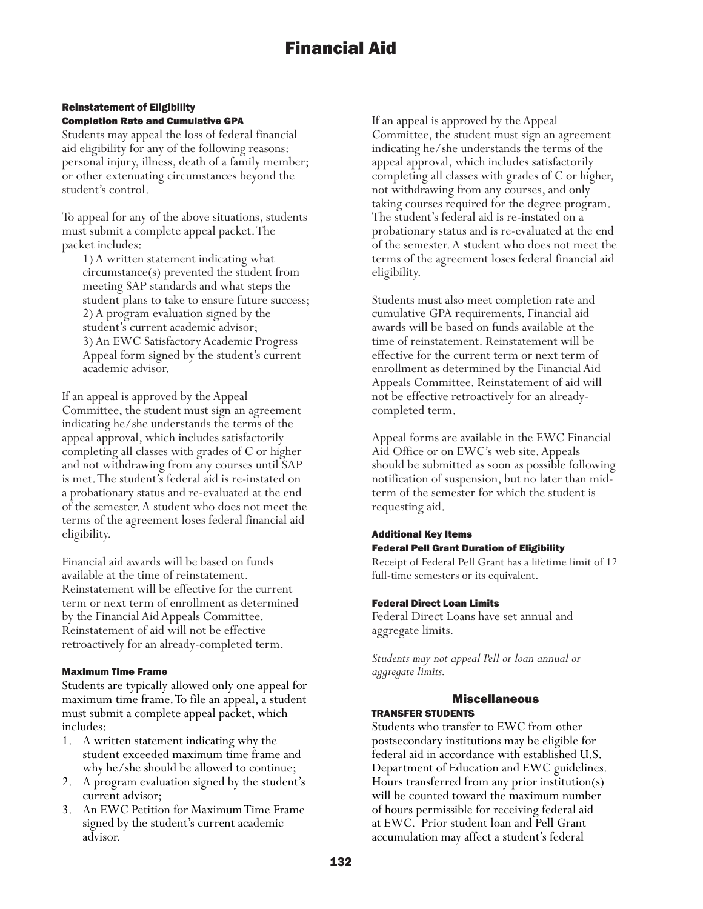### Reinstatement of Eligibility Completion Rate and Cumulative GPA

Students may appeal the loss of federal financial aid eligibility for any of the following reasons: personal injury, illness, death of a family member; or other extenuating circumstances beyond the student's control.

To appeal for any of the above situations, students must submit a complete appeal packet. The packet includes:

1) A written statement indicating what circumstance(s) prevented the student from meeting SAP standards and what steps the student plans to take to ensure future success; 2) A program evaluation signed by the student's current academic advisor; 3) An EWC Satisfactory Academic Progress Appeal form signed by the student's current academic advisor.

If an appeal is approved by the Appeal Committee, the student must sign an agreement indicating he/she understands the terms of the appeal approval, which includes satisfactorily completing all classes with grades of C or higher and not withdrawing from any courses until SAP is met. The student's federal aid is re-instated on a probationary status and re-evaluated at the end of the semester. A student who does not meet the terms of the agreement loses federal financial aid eligibility.

Financial aid awards will be based on funds available at the time of reinstatement. Reinstatement will be effective for the current term or next term of enrollment as determined by the Financial Aid Appeals Committee. Reinstatement of aid will not be effective retroactively for an already-completed term.

### Maximum Time Frame

Students are typically allowed only one appeal for maximum time frame. To file an appeal, a student must submit a complete appeal packet, which includes:

- 1. A written statement indicating why the student exceeded maximum time frame and why he/she should be allowed to continue;
- 2. A program evaluation signed by the student's current advisor;
- 3. An EWC Petition for Maximum Time Frame signed by the student's current academic advisor.

If an appeal is approved by the Appeal Committee, the student must sign an agreement indicating he/she understands the terms of the appeal approval, which includes satisfactorily completing all classes with grades of C or higher, not withdrawing from any courses, and only taking courses required for the degree program. The student's federal aid is re-instated on a probationary status and is re-evaluated at the end of the semester. A student who does not meet the terms of the agreement loses federal financial aid eligibility.

Students must also meet completion rate and cumulative GPA requirements. Financial aid awards will be based on funds available at the time of reinstatement. Reinstatement will be effective for the current term or next term of enrollment as determined by the Financial Aid Appeals Committee. Reinstatement of aid will not be effective retroactively for an alreadycompleted term.

Appeal forms are available in the EWC Financial Aid Office or on EWC's web site. Appeals should be submitted as soon as possible following notification of suspension, but no later than midterm of the semester for which the student is requesting aid.

## Additional Key Items Federal Pell Grant Duration of Eligibility

Receipt of Federal Pell Grant has a lifetime limit of 12 full-time semesters or its equivalent.

## Federal Direct Loan Limits

Federal Direct Loans have set annual and aggregate limits.

*Students may not appeal Pell or loan annual or aggregate limits.*

### Miscellaneous TRANSFER STUDENTS

Students who transfer to EWC from other postsecondary institutions may be eligible for federal aid in accordance with established U.S. Department of Education and EWC guidelines. Hours transferred from any prior institution(s) will be counted toward the maximum number of hours permissible for receiving federal aid at EWC. Prior student loan and Pell Grant accumulation may affect a student's federal